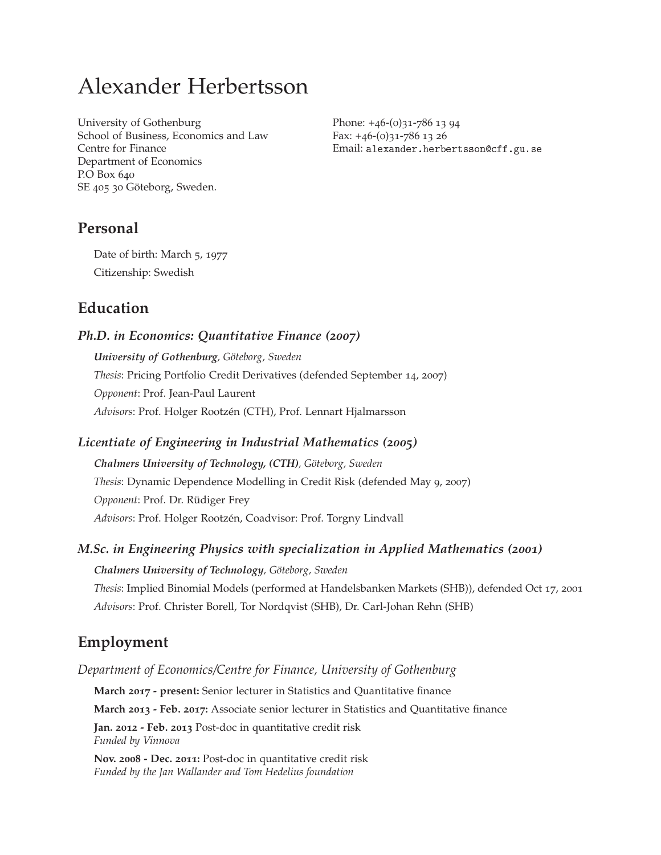# Alexander Herbertsson

University of Gothenburg School of Business, Economics and Law Centre for Finance Department of Economics P.O Box 640 SE 405 30 Göteborg, Sweden.

Phone: +46-(0)31-786 13 94 Fax: +46-(0)31-786 13 26 Email: alexander.herbertsson@cff.gu.se

# **Personal**

Date of birth: March 5, 1977 Citizenship: Swedish

# **Education**

## *Ph.D. in Economics: Quantitative Finance (2007)*

*University of Gothenburg, Göteborg, Sweden Thesis*: Pricing Portfolio Credit Derivatives (defended September 14, 2007) *Opponent*: Prof. Jean-Paul Laurent *Advisors*: Prof. Holger Rootzén (CTH), Prof. Lennart Hjalmarsson

## *Licentiate of Engineering in Industrial Mathematics (2005)*

*Chalmers University of Technology, (CTH), Göteborg, Sweden Thesis*: Dynamic Dependence Modelling in Credit Risk (defended May 9, 2007) *Opponent*: Prof. Dr. Rüdiger Frey *Advisors*: Prof. Holger Rootzén, Coadvisor: Prof. Torgny Lindvall

## *M.Sc. in Engineering Physics with specialization in Applied Mathematics (2001)*

*Chalmers University of Technology, Göteborg, Sweden Thesis*: Implied Binomial Models (performed at Handelsbanken Markets (SHB)), defended Oct 17, 2001 *Advisors*: Prof. Christer Borell, Tor Nordqvist (SHB), Dr. Carl-Johan Rehn (SHB)

# **Employment**

*Department of Economics/Centre for Finance, University of Gothenburg*

**March 2017 - present:** Senior lecturer in Statistics and Quantitative finance

**March 2013 - Feb. 2017:** Associate senior lecturer in Statistics and Quantitative finance

**Jan. 2012 - Feb. 2013** Post-doc in quantitative credit risk *Funded by Vinnova*

**Nov. 2008 - Dec. 2011:** Post-doc in quantitative credit risk *Funded by the Jan Wallander and Tom Hedelius foundation*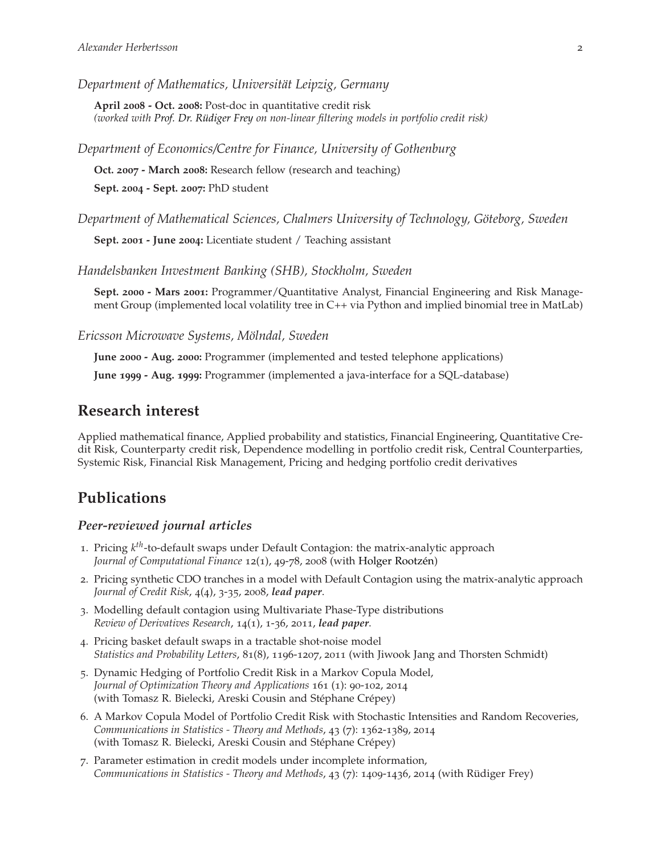*Department of Mathematics, Universität Leipzig, Germany*

**April 2008 - Oct. 2008:** Post-doc in quantitative credit risk *(worked with [Prof. Dr. Rüdiger Frey](http://www.mathematik.uni-leipzig.de/MI/frey/index-e.html) on non-linear filtering models in portfolio credit risk)*

*Department of Economics/Centre for Finance, University of Gothenburg*

**Oct. 2007 - March 2008:** Research fellow (research and teaching) **Sept. 2004 - Sept. 2007:** PhD student

*Department of Mathematical Sciences, Chalmers University of Technology, Göteborg, Sweden*

**Sept. 2001 - June 2004:** Licentiate student / Teaching assistant

*Handelsbanken Investment Banking (SHB), Stockholm, Sweden*

**Sept. 2000 - Mars 2001:** Programmer/Quantitative Analyst, Financial Engineering and Risk Management Group (implemented local volatility tree in C++ via Python and implied binomial tree in MatLab)

*Ericsson Microwave Systems, Mölndal, Sweden*

**June 2000 - Aug. 2000:** Programmer (implemented and tested telephone applications)

**June 1999 - Aug. 1999:** Programmer (implemented a java-interface for a SQL-database)

## **Research interest**

Applied mathematical finance, Applied probability and statistics, Financial Engineering, Quantitative Credit Risk, Counterparty credit risk, Dependence modelling in portfolio credit risk, Central Counterparties, Systemic Risk, Financial Risk Management, Pricing and hedging portfolio credit derivatives

# **Publications**

#### *Peer-reviewed journal articles*

- 1. Pricing *k th*-to-default swaps under Default Contagion: the matrix-analytic approach *Journal of Computational Finance* 12(1), 49-78, 2008 (with [Holger Rootzén\)](http://www.math.chalmers.se/~rootzen/)
- 2. Pricing synthetic CDO tranches in a model with Default Contagion using the matrix-analytic approach *Journal of Credit Risk*, 4(4), 3-35, 2008, *lead paper*.
- 3. Modelling default contagion using Multivariate Phase-Type distributions *Review of Derivatives Research*, 14(1), 1-36, 2011, *lead paper*.
- 4. Pricing basket default swaps in a tractable shot-noise model *Statistics and Probability Letters*, 81(8), 1196-1207, 2011 (with Jiwook Jang and Thorsten Schmidt)
- 5. Dynamic Hedging of Portfolio Credit Risk in a Markov Copula Model, *Journal of Optimization Theory and Applications* 161 (1): 90-102, 2014 (with Tomasz R. Bielecki, Areski Cousin and Stéphane Crépey)
- 6. A Markov Copula Model of Portfolio Credit Risk with Stochastic Intensities and Random Recoveries, *Communications in Statistics - Theory and Methods*, 43 (7): 1362-1389, 2014 (with Tomasz R. Bielecki, Areski Cousin and Stéphane Crépey)
- 7. Parameter estimation in credit models under incomplete information, *Communications in Statistics - Theory and Methods*, 43 (7): 1409-1436, 2014 (with Rüdiger Frey)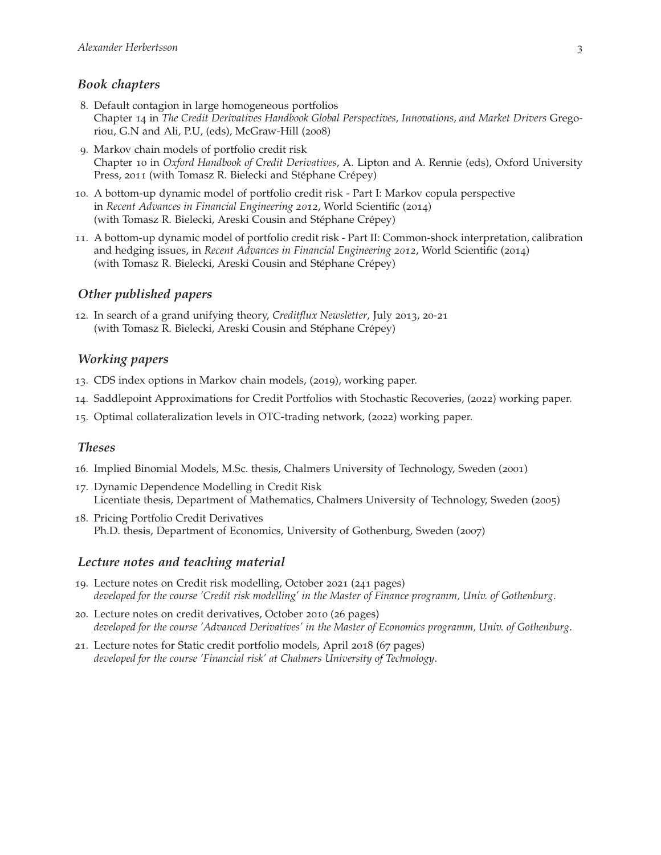#### *Book chapters*

- 8. Default contagion in large homogeneous portfolios Chapter 14 in *The Credit Derivatives Handbook Global Perspectives, Innovations, and Market Drivers* Gregoriou, G.N and Ali, P.U, (eds), McGraw-Hill (2008)
- 9. Markov chain models of portfolio credit risk Chapter 10 in *Oxford Handbook of Credit Derivatives*, A. Lipton and A. Rennie (eds), Oxford University Press, 2011 (with Tomasz R. Bielecki and Stéphane Crépey)
- 10. A bottom-up dynamic model of portfolio credit risk Part I: Markov copula perspective in *Recent Advances in Financial Engineering 2012*, World Scientific (2014) (with Tomasz R. Bielecki, Areski Cousin and Stéphane Crépey)
- 11. A bottom-up dynamic model of portfolio credit risk Part II: Common-shock interpretation, calibration and hedging issues, in *Recent Advances in Financial Engineering 2012*, World Scientific (2014) (with Tomasz R. Bielecki, Areski Cousin and Stéphane Crépey)

#### *Other published papers*

12. In search of a grand unifying theory, *Creditflux Newsletter*, July 2013, 20-21 (with Tomasz R. Bielecki, Areski Cousin and Stéphane Crépey)

#### *Working papers*

- 13. CDS index options in Markov chain models, (2019), working paper.
- 14. Saddlepoint Approximations for Credit Portfolios with Stochastic Recoveries, (2022) working paper.
- 15. Optimal collateralization levels in OTC-trading network, (2022) working paper.

#### *Theses*

- 16. Implied Binomial Models, M.Sc. thesis, Chalmers University of Technology, Sweden (2001)
- 17. Dynamic Dependence Modelling in Credit Risk Licentiate thesis, Department of Mathematics, Chalmers University of Technology, Sweden (2005)
- 18. Pricing Portfolio Credit Derivatives Ph.D. thesis, Department of Economics, University of Gothenburg, Sweden (2007)

#### *Lecture notes and teaching material*

- 19. Lecture notes on Credit risk modelling, October 2021 (241 pages) *developed for the course 'Credit risk modelling' in the Master of Finance programm, Univ. of Gothenburg*.
- 20. Lecture notes on credit derivatives, October 2010 (26 pages) *developed for the course 'Advanced Derivatives' in the Master of Economics programm, Univ. of Gothenburg*.
- 21. Lecture notes for Static credit portfolio models, April 2018 (67 pages) *developed for the course 'Financial risk' at Chalmers University of Technology*.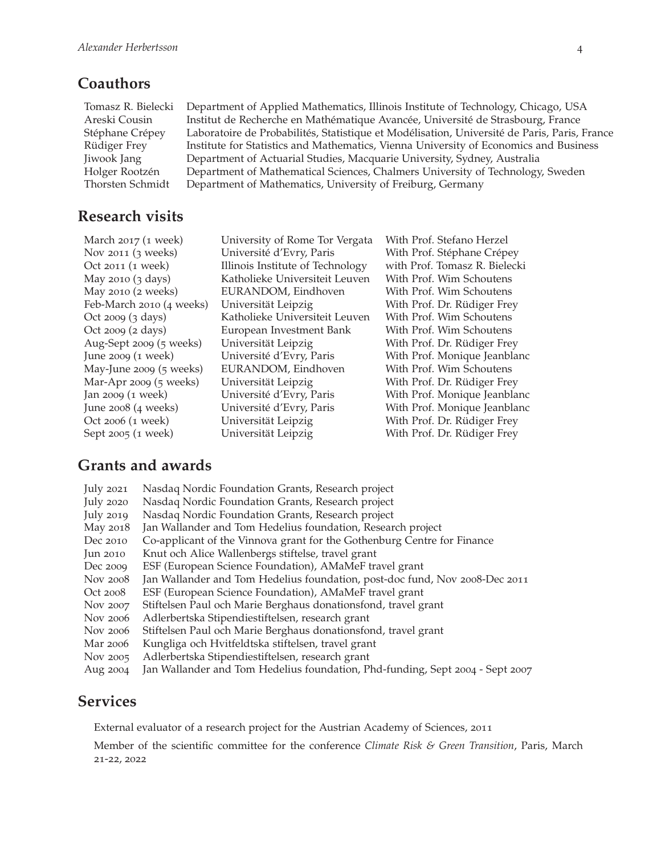# **Coauthors**

Tomasz R. Bielecki Department of Applied Mathematics, Illinois Institute of Technology, Chicago, USA Areski Cousin Institut de Recherche en Mathématique Avancée, Université de Strasbourg, France Stéphane Crépey Laboratoire de Probabilités, Statistique et Modélisation, Université de Paris, Paris, France Rüdiger Frey Institute for Statistics and Mathematics, Vienna University of Economics and Business Jiwook Jang Department of Actuarial Studies, Macquarie University, Sydney, Australia Holger Rootzén Department of Mathematical Sciences, Chalmers University of Technology, Sweden Thorsten Schmidt Department of Mathematics, University of Freiburg, Germany

# **Research visits**

March 2017 (1 week) University of Rome Tor Vergata With Prof. Stefano Herzel Nov 2011 (3 weeks) Université d'Evry, Paris With Prof. Stéphane Crépey Oct 2011 (1 week) Illinois Institute of Technology with Prof. Tomasz R. Bielecki May 2010 (3 days) Katholieke Universiteit Leuven With Prof. Wim Schoutens May 2010 (2 weeks) EURANDOM, Eindhoven With Prof. Wim Schoutens Feb-March 2010 (4 weeks) Universität Leipzig With Prof. Dr. Rüdiger Frey Oct 2009 (3 days) Katholieke Universiteit Leuven With Prof. Wim Schoutens Oct 2009 (2 days) European Investment Bank With Prof. Wim Schoutens Aug-Sept 2009 (5 weeks) Universität Leipzig With Prof. Dr. Rüdiger Frey June 2009 (1 week) Université d'Evry, Paris With Prof. Monique Jeanblanc May-June 2009 (5 weeks) EURANDOM, Eindhoven With Prof. Wim Schoutens Mar-Apr 2009 (5 weeks) Universität Leipzig With Prof. Dr. Rüdiger Frey Jan 2009 (1 week) Université d'Evry, Paris With Prof. Monique Jeanblanc June 2008 (4 weeks) Université d'Evry, Paris With Prof. Monique Jeanblanc Oct 2006 (1 week) Universität Leipzig With Prof. Dr. Rüdiger Frey Sept 2005 (1 week) Universität Leipzig With Prof. Dr. Rüdiger Frey

# **Grants and awards**

| <b>July 2021</b>   | Nasdaq Nordic Foundation Grants, Research project                             |
|--------------------|-------------------------------------------------------------------------------|
| July $2020$        | Nasdaq Nordic Foundation Grants, Research project                             |
| July 2019          | Nasdaq Nordic Foundation Grants, Research project                             |
| May 2018           | Jan Wallander and Tom Hedelius foundation, Research project                   |
| Dec 2010           | Co-applicant of the Vinnova grant for the Gothenburg Centre for Finance       |
| $\text{Jun } 2010$ | Knut och Alice Wallenbergs stiftelse, travel grant                            |
| Dec 2009           | ESF (European Science Foundation), AMaMeF travel grant                        |
| Nov 2008           | Jan Wallander and Tom Hedelius foundation, post-doc fund, Nov 2008-Dec 2011   |
| Oct 2008           | ESF (European Science Foundation), AMaMeF travel grant                        |
| Nov 2007           | Stiftelsen Paul och Marie Berghaus donationsfond, travel grant                |
| Nov 2006           | Adlerbertska Stipendiestiftelsen, research grant                              |
| Nov 2006           | Stiftelsen Paul och Marie Berghaus donationsfond, travel grant                |
| Mar 2006           | Kungliga och Hvitfeldtska stiftelsen, travel grant                            |
| Nov 2005           | Adlerbertska Stipendiestiftelsen, research grant                              |
| Aug 2004           | Jan Wallander and Tom Hedelius foundation, Phd-funding, Sept 2004 - Sept 2007 |

# **Services**

External evaluator of a research project for the Austrian Academy of Sciences, 2011

Member of the scientific committee for the conference *Climate Risk & Green Transition*, Paris, March 21-22, 2022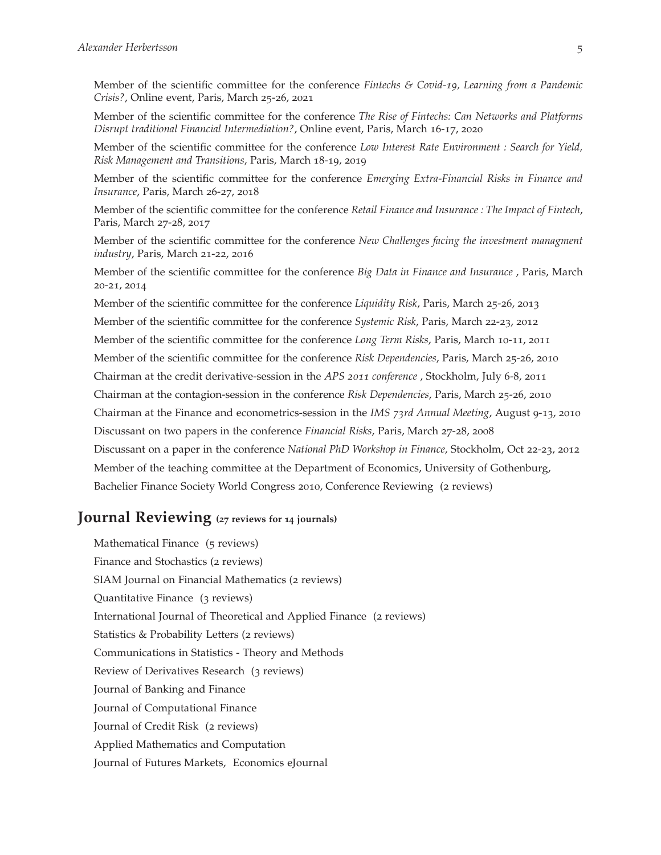Member of the scientific committee for the conference *Fintechs & Covid-19, Learning from a Pandemic Crisis?*, Online event, Paris, March 25-26, 2021

Member of the scientific committee for the conference *The Rise of Fintechs: Can Networks and Platforms Disrupt traditional Financial Intermediation?*, Online event, Paris, March 16-17, 2020

Member of the scientific committee for the conference *Low Interest Rate Environment : Search for Yield, Risk Management and Transitions*, Paris, March 18-19, 2019

Member of the scientific committee for the conference *Emerging Extra-Financial Risks in Finance and Insurance*, Paris, March 26-27, 2018

Member of the scientific committee for the conference *Retail Finance and Insurance : The Impact of Fintech*, Paris, March 27-28, 2017

Member of the scientific committee for the conference *New Challenges facing the investment managment industry*, Paris, March 21-22, 2016

Member of the scientific committee for the conference *Big Data in Finance and Insurance* , Paris, March 20-21, 2014

Member of the scientific committee for the conference *Liquidity Risk*, Paris, March 25-26, 2013 Member of the scientific committee for the conference *Systemic Risk*, Paris, March 22-23, 2012 Member of the scientific committee for the conference *Long Term Risks*, Paris, March 10-11, 2011 Member of the scientific committee for the conference *Risk Dependencies*, Paris, March 25-26, 2010 Chairman at the credit derivative-session in the *APS 2011 conference* , Stockholm, July 6-8, 2011 Chairman at the contagion-session in the conference *Risk Dependencies*, Paris, March 25-26, 2010 Chairman at the Finance and econometrics-session in the *IMS 73rd Annual Meeting*, August 9-13, 2010 Discussant on two papers in the conference *Financial Risks*, Paris, March 27-28, 2008 Discussant on a paper in the conference *National PhD Workshop in Finance*, Stockholm, Oct 22-23, 2012 Member of the teaching committee at the Department of Economics, University of Gothenburg, Bachelier Finance Society World Congress 2010, Conference Reviewing (2 reviews)

# **Journal Reviewing (<sup>27</sup> reviews for <sup>14</sup> journals)**

Mathematical Finance (5 reviews) Finance and Stochastics (2 reviews) SIAM Journal on Financial Mathematics (2 reviews) Quantitative Finance (3 reviews) International Journal of Theoretical and Applied Finance (2 reviews) Statistics & Probability Letters (2 reviews) Communications in Statistics - Theory and Methods Review of Derivatives Research (3 reviews) Journal of Banking and Finance Journal of Computational Finance Journal of Credit Risk (2 reviews) Applied Mathematics and Computation Journal of Futures Markets, Economics eJournal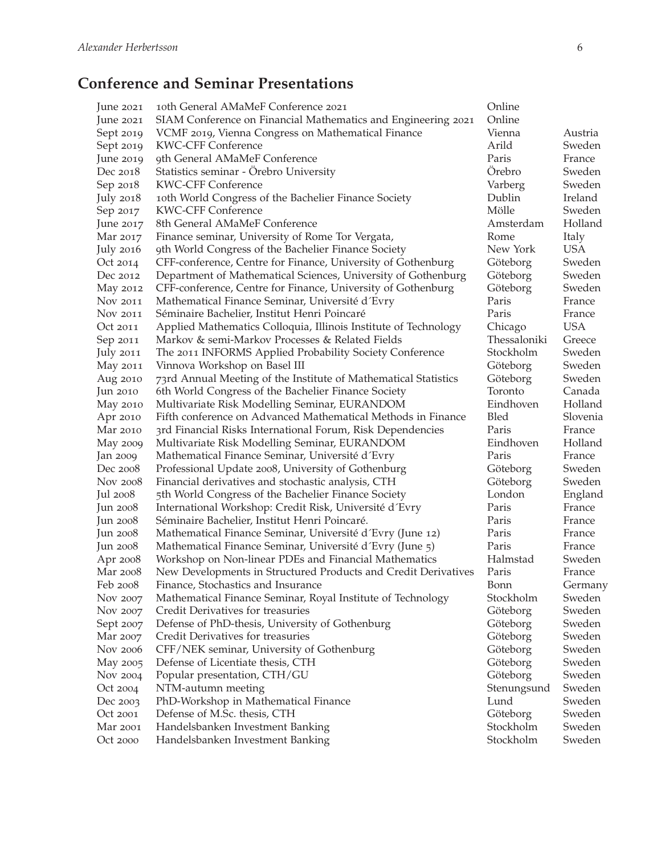# **Conference and Seminar Presentations**

| lune 2021        | 10th General AMaMeF Conference 2021                             | Online       |            |
|------------------|-----------------------------------------------------------------|--------------|------------|
| June 2021        | SIAM Conference on Financial Mathematics and Engineering 2021   | Online       |            |
| Sept 2019        | VCMF 2019, Vienna Congress on Mathematical Finance              | Vienna       | Austria    |
| Sept 2019        | <b>KWC-CFF Conference</b>                                       | Arild        | Sweden     |
| June 2019        | 9th General AMaMeF Conference                                   | Paris        | France     |
| Dec 2018         | Statistics seminar - Örebro University                          | Örebro       | Sweden     |
| Sep 2018         | <b>KWC-CFF Conference</b>                                       | Varberg      | Sweden     |
| <b>July 2018</b> | 10th World Congress of the Bachelier Finance Society            | Dublin       | Ireland    |
| Sep 2017         | <b>KWC-CFF Conference</b>                                       | Mölle        | Sweden     |
| June 2017        | 8th General AMaMeF Conference                                   | Amsterdam    | Holland    |
| Mar 2017         | Finance seminar, University of Rome Tor Vergata,                | Rome         | Italy      |
| <b>July 2016</b> | 9th World Congress of the Bachelier Finance Society             | New York     | <b>USA</b> |
| Oct 2014         | CFF-conference, Centre for Finance, University of Gothenburg    | Göteborg     | Sweden     |
| Dec 2012         | Department of Mathematical Sciences, University of Gothenburg   | Göteborg     | Sweden     |
| May 2012         | CFF-conference, Centre for Finance, University of Gothenburg    | Göteborg     | Sweden     |
| Nov 2011         | Mathematical Finance Seminar, Université d'Evry                 | Paris        | France     |
| Nov 2011         | Séminaire Bachelier, Institut Henri Poincaré                    | Paris        | France     |
| Oct 2011         | Applied Mathematics Colloquia, Illinois Institute of Technology | Chicago      | <b>USA</b> |
| Sep 2011         | Markov & semi-Markov Processes & Related Fields                 | Thessaloniki | Greece     |
| <b>July 2011</b> | The 2011 INFORMS Applied Probability Society Conference         | Stockholm    | Sweden     |
| May 2011         | Vinnova Workshop on Basel III                                   | Göteborg     | Sweden     |
| Aug 2010         | 73rd Annual Meeting of the Institute of Mathematical Statistics | Göteborg     | Sweden     |
| Jun $2010$       | 6th World Congress of the Bachelier Finance Society             | Toronto      | Canada     |
| May 2010         | Multivariate Risk Modelling Seminar, EURANDOM                   | Eindhoven    | Holland    |
| Apr 2010         | Fifth conference on Advanced Mathematical Methods in Finance    | Bled         | Slovenia   |
| Mar 2010         | 3rd Financial Risks International Forum, Risk Dependencies      | Paris        | France     |
| May 2009         | Multivariate Risk Modelling Seminar, EURANDOM                   | Eindhoven    | Holland    |
| Jan 2009         | Mathematical Finance Seminar, Université d'Evry                 | Paris        | France     |
| Dec 2008         | Professional Update 2008, University of Gothenburg              | Göteborg     | Sweden     |
| Nov 2008         | Financial derivatives and stochastic analysis, CTH              | Göteborg     | Sweden     |
| Jul 2008         | 5th World Congress of the Bachelier Finance Society             | London       | England    |
| Jun 2008         | International Workshop: Credit Risk, Université d'Evry          | Paris        | France     |
| Jun 2008         | Séminaire Bachelier, Institut Henri Poincaré.                   | Paris        | France     |
| Jun 2008         | Mathematical Finance Seminar, Université d'Evry (June 12)       | Paris        | France     |
| Jun 2008         | Mathematical Finance Seminar, Université d'Evry (June 5)        | Paris        | France     |
| Apr 2008         | Workshop on Non-linear PDEs and Financial Mathematics           | Halmstad     | Sweden     |
| Mar 2008         | New Developments in Structured Products and Credit Derivatives  | Paris        | France     |
| Feb 2008         | Finance, Stochastics and Insurance                              | Bonn         | Germany    |
| Nov 2007         | Mathematical Finance Seminar, Royal Institute of Technology     | Stockholm    | Sweden     |
| Nov 2007         | Credit Derivatives for treasuries                               | Göteborg     | Sweden     |
| Sept 2007        | Defense of PhD-thesis, University of Gothenburg                 | Göteborg     | Sweden     |
| Mar 2007         | Credit Derivatives for treasuries                               | Göteborg     | Sweden     |
| Nov 2006         | CFF/NEK seminar, University of Gothenburg                       | Göteborg     | Sweden     |
| May 2005         | Defense of Licentiate thesis, CTH                               | Göteborg     | Sweden     |
| Nov 2004         | Popular presentation, CTH/GU                                    | Göteborg     | Sweden     |
| Oct 2004         | NTM-autumn meeting                                              | Stenungsund  | Sweden     |
| Dec 2003         | PhD-Workshop in Mathematical Finance                            | Lund         | Sweden     |
| Oct 2001         | Defense of M.Sc. thesis, CTH                                    | Göteborg     | Sweden     |
| Mar 2001         | Handelsbanken Investment Banking                                | Stockholm    | Sweden     |
| Oct 2000         | Handelsbanken Investment Banking                                | Stockholm    | Sweden     |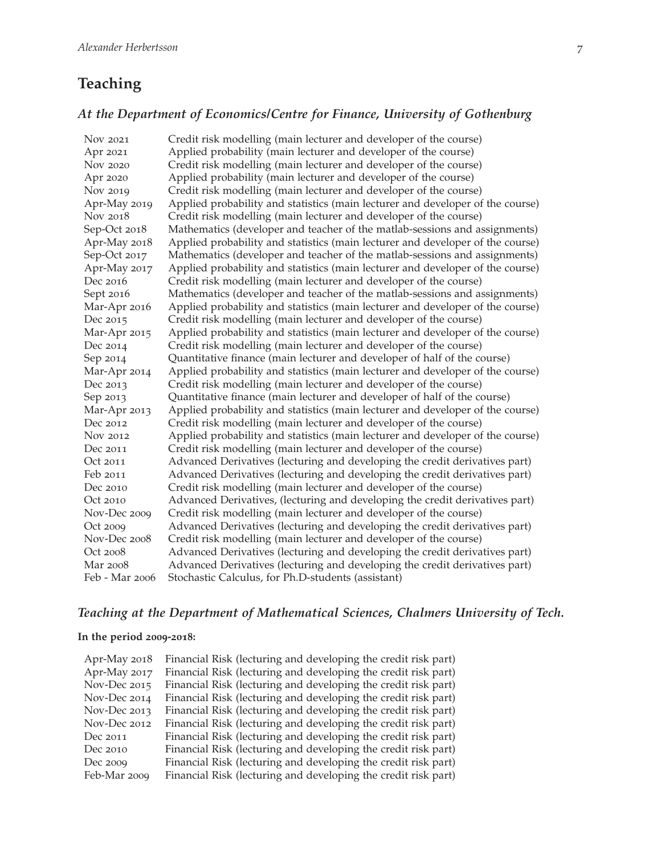# **Teaching**

#### *At the Department of Economics/Centre for Finance, University of Gothenburg*

Nov 2021 Credit risk modelling (main lecturer and developer of the course) Apr 2021 Applied probability (main lecturer and developer of the course) Nov 2020 Credit risk modelling (main lecturer and developer of the course) Apr 2020 Applied probability (main lecturer and developer of the course) Nov 2019 Credit risk modelling (main lecturer and developer of the course) Apr-May 2019 Applied probability and statistics (main lecturer and developer of the course) Nov 2018 Credit risk modelling (main lecturer and developer of the course) Sep-Oct 2018 Mathematics (developer and teacher of the matlab-sessions and assignments) Apr-May 2018 Applied probability and statistics (main lecturer and developer of the course) Sep-Oct 2017 Mathematics (developer and teacher of the matlab-sessions and assignments) Apr-May 2017 Applied probability and statistics (main lecturer and developer of the course) Dec 2016 Credit risk modelling (main lecturer and developer of the course) Sept 2016 Mathematics (developer and teacher of the matlab-sessions and assignments) Mar-Apr 2016 Applied probability and statistics (main lecturer and developer of the course) Dec 2015 Credit risk modelling (main lecturer and developer of the course) Mar-Apr 2015 Applied probability and statistics (main lecturer and developer of the course) Dec 2014 Credit risk modelling (main lecturer and developer of the course) Sep 2014 Quantitative finance (main lecturer and developer of half of the course) Mar-Apr 2014 Applied probability and statistics (main lecturer and developer of the course) Dec 2013 Credit risk modelling (main lecturer and developer of the course) Sep 2013 Quantitative finance (main lecturer and developer of half of the course) Mar-Apr 2013 Applied probability and statistics (main lecturer and developer of the course) Dec 2012 Credit risk modelling (main lecturer and developer of the course) Nov 2012 Applied probability and statistics (main lecturer and developer of the course) Dec 2011 Credit risk modelling (main lecturer and developer of the course) Oct 2011 Advanced Derivatives (lecturing and developing the credit derivatives part) Feb 2011 Advanced Derivatives (lecturing and developing the credit derivatives part) Dec 2010 Credit risk modelling (main lecturer and developer of the course) Oct 2010 Advanced Derivatives, (lecturing and developing the credit derivatives part) Nov-Dec 2009 Credit risk modelling (main lecturer and developer of the course) Oct 2009 Advanced Derivatives (lecturing and developing the credit derivatives part) Nov-Dec 2008 Credit risk modelling (main lecturer and developer of the course) Oct 2008 Advanced Derivatives (lecturing and developing the credit derivatives part) Mar 2008 Advanced Derivatives (lecturing and developing the credit derivatives part) Feb - Mar 2006 Stochastic Calculus, for Ph.D-students (assistant)

#### *Teaching at the Department of Mathematical Sciences, Chalmers University of Tech.*

#### **In the period 2009-2018:**

| Apr-May 2018 | Financial Risk (lecturing and developing the credit risk part) |
|--------------|----------------------------------------------------------------|
| Apr-May 2017 | Financial Risk (lecturing and developing the credit risk part) |
| Nov-Dec 2015 | Financial Risk (lecturing and developing the credit risk part) |
| Nov-Dec 2014 | Financial Risk (lecturing and developing the credit risk part) |
| Nov-Dec 2013 | Financial Risk (lecturing and developing the credit risk part) |
| Nov-Dec 2012 | Financial Risk (lecturing and developing the credit risk part) |
| Dec 2011     | Financial Risk (lecturing and developing the credit risk part) |
| Dec 2010     | Financial Risk (lecturing and developing the credit risk part) |
| Dec 2009     | Financial Risk (lecturing and developing the credit risk part) |
| Feb-Mar 2009 | Financial Risk (lecturing and developing the credit risk part) |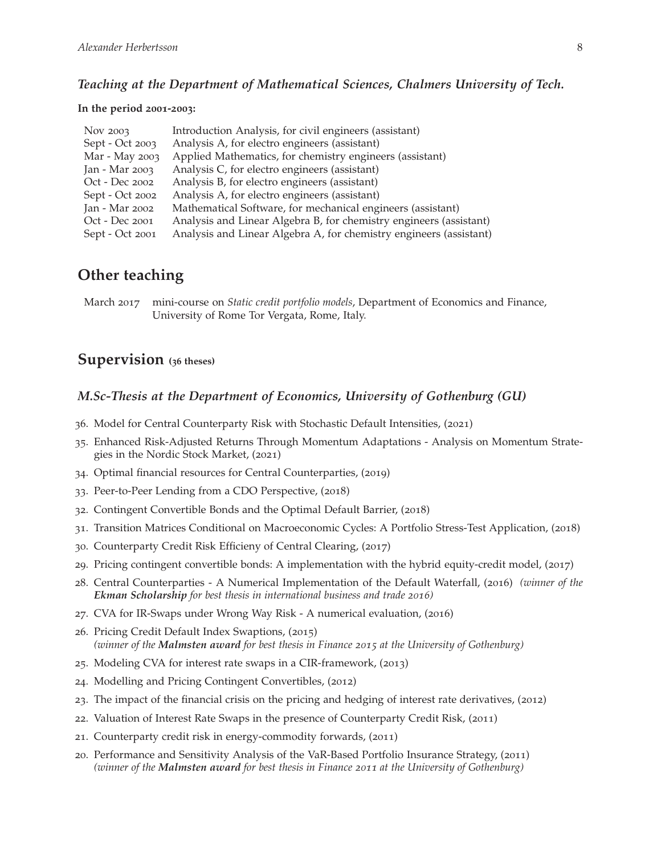#### *Teaching at the Department of Mathematical Sciences, Chalmers University of Tech.*

#### **In the period 2001-2003:**

| Nov 2003        | Introduction Analysis, for civil engineers (assistant)             |
|-----------------|--------------------------------------------------------------------|
| Sept - Oct 2003 | Analysis A, for electro engineers (assistant)                      |
| Mar - May 2003  | Applied Mathematics, for chemistry engineers (assistant)           |
| Jan - Mar 2003  | Analysis C, for electro engineers (assistant)                      |
| Oct - Dec 2002  | Analysis B, for electro engineers (assistant)                      |
| Sept - Oct 2002 | Analysis A, for electro engineers (assistant)                      |
| Jan - Mar 2002  | Mathematical Software, for mechanical engineers (assistant)        |
| Oct - Dec 2001  | Analysis and Linear Algebra B, for chemistry engineers (assistant) |
| Sept - Oct 2001 | Analysis and Linear Algebra A, for chemistry engineers (assistant) |

# **Other teaching**

March 2017 mini-course on *Static credit portfolio models*, Department of Economics and Finance, University of Rome Tor Vergata, Rome, Italy.

## **Supervision (<sup>36</sup> theses)**

#### *M.Sc-Thesis at the Department of Economics, University of Gothenburg (GU)*

- 36. Model for Central Counterparty Risk with Stochastic Default Intensities, (2021)
- 35. Enhanced Risk-Adjusted Returns Through Momentum Adaptations Analysis on Momentum Strategies in the Nordic Stock Market, (2021)
- 34. Optimal financial resources for Central Counterparties, (2019)
- 33. Peer-to-Peer Lending from a CDO Perspective, (2018)
- 32. Contingent Convertible Bonds and the Optimal Default Barrier, (2018)
- 31. Transition Matrices Conditional on Macroeconomic Cycles: A Portfolio Stress-Test Application, (2018)
- 30. Counterparty Credit Risk Efficieny of Central Clearing, (2017)
- 29. Pricing contingent convertible bonds: A implementation with the hybrid equity-credit model, (2017)
- 28. Central Counterparties A Numerical Implementation of the Default Waterfall, (2016) *(winner of the Ekman Scholarship for best thesis in international business and trade 2016)*
- 27. CVA for IR-Swaps under Wrong Way Risk A numerical evaluation, (2016)
- 26. Pricing Credit Default Index Swaptions, (2015) *(winner of the Malmsten award for best thesis in Finance 2015 at the University of Gothenburg)*
- 25. Modeling CVA for interest rate swaps in a CIR-framework, (2013)
- 24. Modelling and Pricing Contingent Convertibles, (2012)
- 23. The impact of the financial crisis on the pricing and hedging of interest rate derivatives, (2012)
- 22. Valuation of Interest Rate Swaps in the presence of Counterparty Credit Risk, (2011)
- 21. Counterparty credit risk in energy-commodity forwards, (2011)
- 20. Performance and Sensitivity Analysis of the VaR-Based Portfolio Insurance Strategy, (2011) *(winner of the Malmsten award for best thesis in Finance 2011 at the University of Gothenburg)*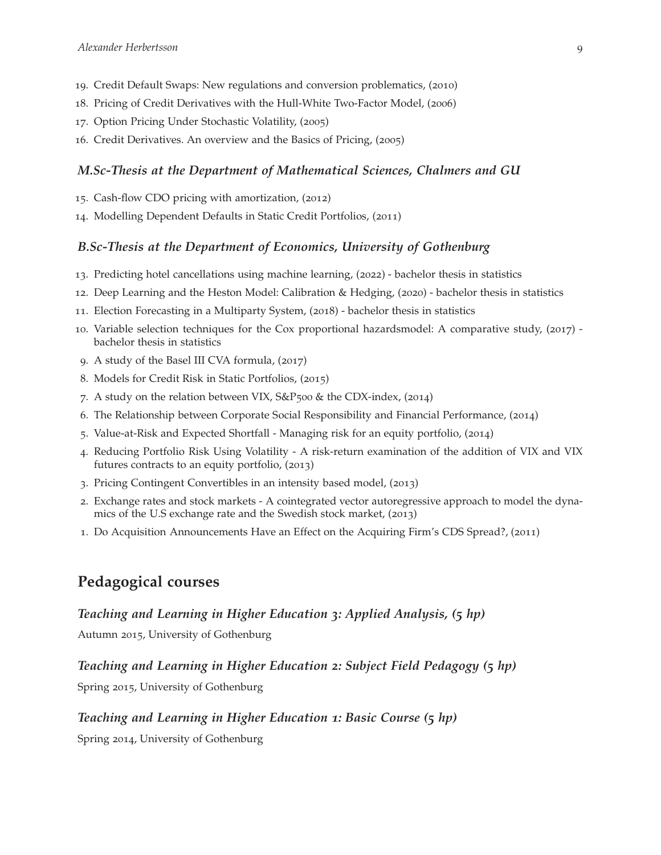- 19. Credit Default Swaps: New regulations and conversion problematics, (2010)
- 18. Pricing of Credit Derivatives with the Hull-White Two-Factor Model, (2006)
- 17. Option Pricing Under Stochastic Volatility, (2005)
- 16. Credit Derivatives. An overview and the Basics of Pricing, (2005)

#### *M.Sc-Thesis at the Department of Mathematical Sciences, Chalmers and GU*

- 15. Cash-flow CDO pricing with amortization, (2012)
- 14. Modelling Dependent Defaults in Static Credit Portfolios, (2011)

#### *B.Sc-Thesis at the Department of Economics, University of Gothenburg*

- 13. Predicting hotel cancellations using machine learning, (2022) bachelor thesis in statistics
- 12. Deep Learning and the Heston Model: Calibration & Hedging, (2020) bachelor thesis in statistics
- 11. Election Forecasting in a Multiparty System, (2018) bachelor thesis in statistics
- 10. Variable selection techniques for the Cox proportional hazardsmodel: A comparative study, (2017) bachelor thesis in statistics
- 9. A study of the Basel III CVA formula, (2017)
- 8. Models for Credit Risk in Static Portfolios, (2015)
- 7. A study on the relation between VIX,  $S\&P_500 \&$  the CDX-index, (2014)
- 6. The Relationship between Corporate Social Responsibility and Financial Performance, (2014)
- 5. Value-at-Risk and Expected Shortfall Managing risk for an equity portfolio, (2014)
- 4. Reducing Portfolio Risk Using Volatility A risk-return examination of the addition of VIX and VIX futures contracts to an equity portfolio, (2013)
- 3. Pricing Contingent Convertibles in an intensity based model, (2013)
- 2. Exchange rates and stock markets A cointegrated vector autoregressive approach to model the dynamics of the U.S exchange rate and the Swedish stock market, (2013)
- 1. Do Acquisition Announcements Have an Effect on the Acquiring Firm's CDS Spread?, (2011)

## **Pedagogical courses**

#### *Teaching and Learning in Higher Education 3: Applied Analysis, (5 hp)*

Autumn 2015, University of Gothenburg

#### *Teaching and Learning in Higher Education 2: Subject Field Pedagogy (5 hp)*

Spring 2015, University of Gothenburg

#### *Teaching and Learning in Higher Education 1: Basic Course (5 hp)*

Spring 2014, University of Gothenburg